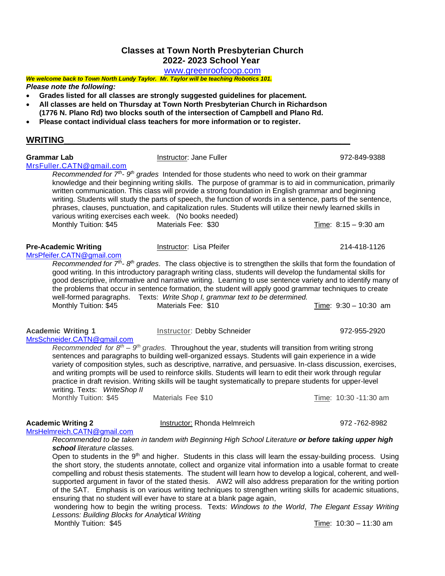# **Classes at Town North Presbyterian Church 2022- 2023 School Year**

[www.greenroofcoop.com](http://www.greenroofcoop.com/)

#### *We welcome back to Town North Lundy Taylor. Mr. Taylor will be teaching Robotics 101. Please note the following:*

- **Grades listed for all classes are strongly suggested guidelines for placement.**
- **All classes are held on Thursday at Town North Presbyterian Church in Richardson**
- **(1776 N. Plano Rd) two blocks south of the intersection of Campbell and Plano Rd.**
- **Please contact individual class teachers for more information or to register.**

### **WRITING\_\_\_\_\_\_\_\_\_\_\_\_\_\_\_\_\_\_\_\_\_\_\_\_\_\_\_\_\_\_\_\_\_\_\_\_\_\_\_\_\_\_\_\_\_\_\_\_\_\_\_\_\_\_\_\_\_\_\_**

| <b>Grammar Lab</b><br>MrsFuller.CATN@gmail.com                                                                    | Instructor: Jane Fuller                                                                                                                                                                                                                                                                                                                                                                                                                                                                                                                                                                                             | 972-849-9388                          |
|-------------------------------------------------------------------------------------------------------------------|---------------------------------------------------------------------------------------------------------------------------------------------------------------------------------------------------------------------------------------------------------------------------------------------------------------------------------------------------------------------------------------------------------------------------------------------------------------------------------------------------------------------------------------------------------------------------------------------------------------------|---------------------------------------|
| various writing exercises each week. (No books needed)                                                            | Recommended for $7th$ - $9th$ grades Intended for those students who need to work on their grammar<br>knowledge and their beginning writing skills. The purpose of grammar is to aid in communication, primarily<br>written communication. This class will provide a strong foundation in English grammar and beginning<br>writing. Students will study the parts of speech, the function of words in a sentence, parts of the sentence,<br>phrases, clauses, punctuation, and capitalization rules. Students will utilize their newly learned skills in                                                            |                                       |
| Monthly Tuition: \$45                                                                                             | Materials Fee: \$30                                                                                                                                                                                                                                                                                                                                                                                                                                                                                                                                                                                                 | Time: $8:15 - 9:30$ am                |
| <b>Pre-Academic Writing</b><br>MrsPfeifer.CATN@gmail.com                                                          | Instructor: Lisa Pfeifer                                                                                                                                                                                                                                                                                                                                                                                                                                                                                                                                                                                            | 214-418-1126                          |
| Monthly Tuition: \$45                                                                                             | Recommended for $7th$ - $8th$ grades. The class objective is to strengthen the skills that form the foundation of<br>good writing. In this introductory paragraph writing class, students will develop the fundamental skills for<br>good descriptive, informative and narrative writing. Learning to use sentence variety and to identify many of<br>the problems that occur in sentence formation, the student will apply good grammar techniques to create<br>well-formed paragraphs. Texts: Write Shop I, grammar text to be determined.<br>Materials Fee: \$10                                                 | Time: $9:30 - 10:30$ am               |
| <b>Academic Writing 1</b><br>MrsSchneider.CATN@gmail.com<br>writing. Texts: WriteShop II<br>Monthly Tuition: \$45 | Instructor: Debby Schneider<br>Recommended for $8th - 9th$ grades. Throughout the year, students will transition from writing strong<br>sentences and paragraphs to building well-organized essays. Students will gain experience in a wide<br>variety of composition styles, such as descriptive, narrative, and persuasive. In-class discussion, exercises,<br>and writing prompts will be used to reinforce skills. Students will learn to edit their work through regular<br>practice in draft revision. Writing skills will be taught systematically to prepare students for upper-level<br>Materials Fee \$10 | 972-955-2920<br>Time: 10:30 -11:30 am |

**Academic Writing 2** Instructor: Rhonda Helmreich 972 -762-8982

# [MrsHelmreich.CATN@gmail.com](mailto:MrsHelmreich.CATN@gmail.com)

*Recommended to be taken in tandem with Beginning High School Literature or before taking upper high school literature classes.*

Open to students in the 9<sup>th</sup> and higher. Students in this class will learn the essay-building process. Using the short story, the students annotate, collect and organize vital information into a usable format to create compelling and robust thesis statements. The student will learn how to develop a logical, coherent, and wellsupported argument in favor of the stated thesis. AW2 will also address preparation for the writing portion of the SAT. Emphasis is on various writing techniques to strengthen writing skills for academic situations, ensuring that no student will ever have to stare at a blank page again,

wondering how to begin the writing process. Texts: *Windows to the World*, *The Elegant Essay Writing Lessons: Building Blocks for Analytical Writing*

Monthly Tuition: \$45 Time: 10:30 – 11:30 am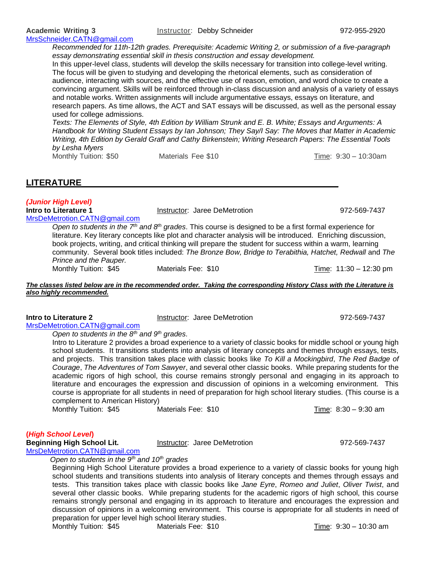*Recommended for 11th-12th grades. Prerequisite: Academic Writing 2, or submission of a five-paragraph essay demonstrating essential skill in thesis construction and essay development.*

In this upper-level class, students will develop the skills necessary for transition into college-level writing. The focus will be given to studying and developing the rhetorical elements, such as consideration of audience, interacting with sources, and the effective use of reason, emotion, and word choice to create a convincing argument. Skills will be reinforced through in-class discussion and analysis of a variety of essays and notable works. Written assignments will include argumentative essays, essays on literature, and research papers. As time allows, the ACT and SAT essays will be discussed, as well as the personal essay used for college admissions.

*Texts: The Elements of Style, 4th Edition by William Strunk and E. B. White; Essays and Arguments: A Handbook for Writing Student Essays by Ian Johnson; They Say/I Say: The Moves that Matter in Academic Writing, 4th Edition by Gerald Graff and Cathy Birkenstein; Writing Research Papers: The Essential Tools by Lesha Myers*

Monthly Tuition: \$50 Materials Fee \$10 Time: 9:30 – 10:30am

**LITERATURE\_\_\_\_\_\_\_\_\_\_\_\_\_\_\_\_\_\_\_\_\_\_\_\_\_\_\_\_\_\_\_\_\_\_\_\_\_\_\_\_\_\_\_\_\_\_\_\_\_\_\_\_\_**

*(Junior High Level)* [MrsDeMetrotion.CATN@gmail.com](mailto:MrsDeMetrotion.CATN@gmail.com)

**Instructor: Jaree DeMetrotion 972-569-7437** 

*Open to students in the 7th and 8th grades*. This course is designed to be a first formal experience for literature. Key literary concepts like plot and character analysis will be introduced. Enriching discussion, book projects, writing, and critical thinking will prepare the student for success within a warm, learning community. Several book titles included: *The Bronze Bow, Bridge to Terabithia, Hatchet, Redwall* and *The Prince and the Pauper.* Materials Fee:  $$10$  Time:  $11:30 - 12:30$  pm

*The classes listed below are in the recommended order. Taking the corresponding History Class with the Literature is also highly recommended.*

# [MrsDeMetrotion.CATN@gmail.com](mailto:MrsDeMetrotion.CATN@gmail.com)

**Intro to Literature 2 Instructor: Jaree DeMetrotion** 972-569-7437

*Open to students in the 8th and 9th grades.* 

Intro to Literature 2 provides a broad experience to a variety of classic books for middle school or young high school students. It transitions students into analysis of literary concepts and themes through essays, tests, and projects. This transition takes place with classic books like *To Kill a Mockingbird*, *The Red Badge of Courage*, *The Adventures of Tom Sawyer*, and several other classic books. While preparing students for the academic rigors of high school, this course remains strongly personal and engaging in its approach to literature and encourages the expression and discussion of opinions in a welcoming environment. This course is appropriate for all students in need of preparation for high school literary studies. (This course is a complement to American History)

Monthly Tuition: \$45 Materials Fee: \$10 Time: 8:30 – 9:30 am

### **(***High School Level***)**

**Beginning High School Lit.** Thistructor: Jaree DeMetrotion 1972-569-7437

[MrsDeMetrotion.CATN@gmail.com](mailto:MrsDeMetrotion.CATN@gmail.com)

*Open to students in the 9th and 10th grades* 

Beginning High School Literature provides a broad experience to a variety of classic books for young high school students and transitions students into analysis of literary concepts and themes through essays and tests. This transition takes place with classic books like *Jane Eyre*, *Romeo and Juliet*, *Oliver Twist*, and several other classic books. While preparing students for the academic rigors of high school, this course remains strongly personal and engaging in its approach to literature and encourages the expression and discussion of opinions in a welcoming environment. This course is appropriate for all students in need of preparation for upper level high school literary studies. Monthly Tuition: \$45 Materials Fee: \$10 Time: 9:30 – 10:30 am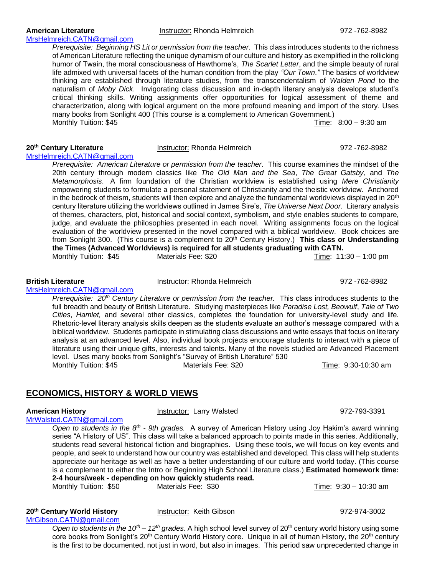[MrsHelmreich.CATN@gmail.com](mailto:MrsHelmreich.CATN@gmail.com) *Prerequisite: Beginning HS Lit or permission from the teacher.* This class introduces students to the richness of American Literature reflecting the unique dynamism of our culture and history as exemplified in the rollicking humor of Twain, the moral consciousness of Hawthorne's, *The Scarlet Letter*, and the simple beauty of rural life admixed with universal facets of the human condition from the play *"Our Town."* The basics of worldview thinking are established through literature studies, from the transcendentalism of *Walden Pond* to the naturalism of *Moby Dick*. Invigorating class discussion and in-depth literary analysis develops student's critical thinking skills. Writing assignments offer opportunities for logical assessment of theme and characterization, along with logical argument on the more profound meaning and import of the story. Uses many books from Sonlight 400 (This course is a complement to American Government.) Monthly Tuition: \$45Time: 8:00 – 9:30 am

**20th Century Literature** Instructor: Rhonda Helmreich 972 -762-8982 [MrsHelmreich.CATN@gmail.com](mailto:MrsHelmreich.CATN@gmail.com)

[MrsHelmreich.CATN@gmail.com](mailto:MrsHelmreich.CATN@gmail.com)

*Prerequisite: American Literature or permission from the teacher.* This course examines the mindset of the 20th century through modern classics like *The Old Man and the Sea*, *The Great Gatsby*, and *The Metamorphosis*. A firm foundation of the Christian worldview is established using *Mere Christianity* empowering students to formulate a personal statement of Christianity and the theistic worldview. Anchored in the bedrock of theism, students will then explore and analyze the fundamental worldviews displayed in  $20<sup>th</sup>$ century literature utilizing the worldviews outlined in James Sire's, *The Universe Next Door*. Literary analysis of themes, characters, plot, historical and social context, symbolism, and style enables students to compare, judge, and evaluate the philosophies presented in each novel. Writing assignments focus on the logical evaluation of the worldview presented in the novel compared with a biblical worldview. Book choices are from Sonlight 300. (This course is a complement to 20<sup>th</sup> Century History.) **This class or Understanding the Times (Advanced Worldviews) is required for all students graduating with CATN.** Monthly Tuition: \$45 Materials Fee: \$20 Time: 11:30 – 1:00 pm

*Prerequisite: 20th Century Literature or permission from the teacher.* This class introduces students to the full breadth and beauty of British Literature. Studying masterpieces like *Paradise Lost, Beowulf*, *Tale of Two Cities*, *Hamlet,* and several other classics, completes the foundation for university-level study and life. Rhetoric-level literary analysis skills deepen as the students evaluate an author's message compared with a biblical worldview. Students participate in stimulating class discussions and write essays that focus on literary analysis at an advanced level. Also, individual book projects encourage students to interact with a piece of literature using their unique gifts, interests and talents. Many of the novels studied are Advanced Placement level. Uses many books from Sonlight's "Survey of British Literature" 530 Monthly Tuition: \$45 Materials Fee: \$20 Time: 9:30-10:30 am

# **ECONOMICS, HISTORY & WORLD VIEWS**

**American History <b>Instructor**: Larry Walsted **1.1 American History 1.1 American History** 1.1 American 1.1 American 1.1 American 1.1 American 1.1 American 1.1 American 1.1 American 1.1 American 1.1 American 1.1 American 1.

*Open to students in the 8<sup>th</sup> - 9th grades.* A survey of American History using Joy Hakim's award winning series "A History of US". This class will take a balanced approach to points made in this series. Additionally, students read several historical fiction and biographies. Using these tools, we will focus on key events and people, and seek to understand how our country was established and developed. This class will help students appreciate our heritage as well as have a better understanding of our culture and world today. (This course is a complement to either the Intro or Beginning High School Literature class.) **Estimated homework time: 2-4 hours/week - depending on how quickly students read.**

Monthly Tuition: \$50 Materials Fee: \$30 Time: 9:30 – 10:30 am

[MrGibson.CATN@gmail.com](mailto:MrGibson.CATN@gmail.com)

*Open to students in the 10<sup>th</sup> – 12<sup>th</sup> grades. A high school level survey of 20<sup>th</sup> century world history using some* core books from Sonlight's 20<sup>th</sup> Century World History core. Unique in all of human History, the 20<sup>th</sup> century is the first to be documented, not just in word, but also in images. This period saw unprecedented change in

# [MrWalsted.CATN@gmail.com](mailto:MrWalsted.CATN@gmail.com)

# **20th Century World History** Instructor: Keith Gibson 972-974-3002

**British Literature** Instructor: Rhonda Helmreich 972 -762-8982

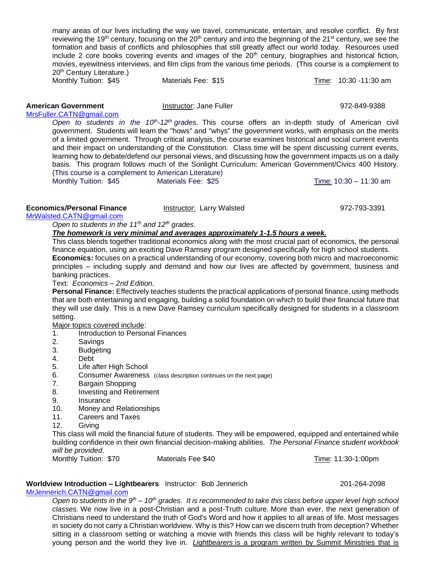many areas of our lives including the way we travel, communicate, entertain, and resolve conflict. By first reviewing the 19<sup>th</sup> century, focusing on the 20<sup>th</sup> century and into the beginning of the 21<sup>st</sup> century, we see the formation and basis of conflicts and philosophies that still greatly affect our world today. Resources used include 2 core books covering events and images of the 20<sup>th</sup> century, biographies and historical fiction, movies, eyewitness interviews, and film clips from the various time periods. (This course is a complement to 20<sup>th</sup> Century Literature.) Monthly Tuition: \$45 Materials Fee: \$15 Time: 10:30 -11:30 am

### **American Government Instructor: Jane Fuller 1972-849-9388 972-849-9388**

[MrsFuller.CATN@gmail.com](mailto:MrsFuller.CATN@gmail.com)

*Open to students in the 10th -12th grades*. This course offers an in-depth study of American civil government. Students will learn the "hows" and "whys" the government works, with emphasis on the merits of a limited government. Through critical analysis, the course examines historical and social current events and their impact on understanding of the Constitution. Class time will be spent discussing current events, learning how to debate/defend our personal views, and discussing how the government impacts us on a daily basis. This program follows much of the Sonlight Curriculum: American Government/Civics 400 History. (This course is a complement to American Literature) Monthly Tuition: \$45 Materials Fee: \$25 Time: 10:30 – 11:30 am

**Economics/Personal Finance** Instructor: Larry Walsted 972-793-3391

#### [MrWalsted.CATN@gmail.com](mailto:MrWalsted.CATN@gmail.com)

### *Open to students in the 11th and 12th grades.*

### *The homework is very minimal and averages approximately 1-1.5 hours a week.*

This class blends together traditional economics along with the most crucial part of economics, the personal finance equation, using an exciting Dave Ramsey program designed specifically for high school students. **Economics:** focuses on a practical understanding of our economy, covering both micro and macroeconomic principles – including supply and demand and how our lives are affected by government, business and banking practices.

Text*: Economics – 2nd Edition.* 

**Personal Finance:** Effectively teaches students the practical applications of personal finance, using methods that are both entertaining and engaging, building a solid foundation on which to build their financial future that they will use daily. This is a new Dave Ramsey curriculum specifically designed for students in a classroom setting.

Major topics covered include:

- 1. Introduction to Personal Finances
- 2. Savings
- 3. Budgeting
- 4. Debt
- 5. Life after High School
- 6. Consumer Awareness (class description continues on the next page)
- 7. Bargain Shopping
- 8. Investing and Retirement
- 9. Insurance
- 10. Money and Relationships
- 11. Careers and Taxes
- 12. Giving

This class will mold the financial future of students. They will be empowered, equipped and entertained while building confidence in their own financial decision-making abilities. *The Personal Finance student workbook will be provided*.

Monthly Tuition: \$70 Materials Fee \$40 Time: 11:30-1:00pm

### **Worldview Introduction – Lightbearers** Instructor: Bob Jennerich 201-264-2098

[MrJennerich.CATN@gmail.com](mailto:MrJennerich.CATN@gmail.com) 

*Open to students in the 9<sup>th</sup> – 10<sup>th</sup> grades. It is recommended to take this class before upper level high school classes.* We now live in a post-Christian and a post-Truth culture. More than ever, the next generation of Christians need to understand the truth of God's Word and how it applies to all areas of life. Most messages in society do not carry a Christian worldview. Why is this? How can we discern truth from deception? Whether sitting in a classroom setting or watching a movie with friends this class will be highly relevant to today's young person and the world they live in. *Lightbearers* is a program written by Summit Ministries that is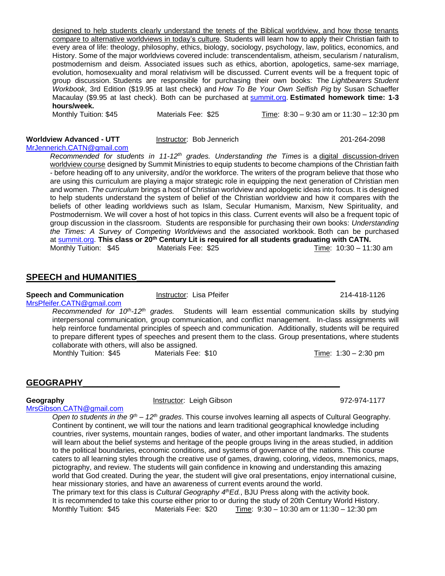designed to help students clearly understand the tenets of the Biblical worldview, and how those tenants compare to alternative worldviews in today's culture. Students will learn how to apply their Christian faith to every area of life: theology, philosophy, ethics, biology, sociology, psychology, law, politics, economics, and History. Some of the major worldviews covered include: transcendentalism, atheism, secularism / naturalism, postmodernism and deism. Associated issues such as ethics, abortion, apologetics, same-sex marriage, evolution, homosexuality and moral relativism will be discussed. Current events will be a frequent topic of group discussion. Students are responsible for purchasing their own books: The *Lightbearers Student Workbook*, 3rd Edition (\$19.95 at last check) and *How To Be Your Own Selfish Pig* by Susan Schaeffer Macaulay (\$9.95 at last check). Both can be purchased at [summit.org.](http://summit.org/) **Estimated homework time: 1-3 hours/week.**

Monthly Tuition: \$45 Materials Fee: \$25 Time: 8:30 – 9:30 am or 11:30 – 12:30 pm

### **Worldview Advanced - UTT** and instructor: Bob Jennerich 201-264-2098

[MrJennerich.CATN@gmail.com](mailto:MrJennerich.CATN@gmail.com)

*Recommended for students in 11-12th grades. Understanding the Times* is a digital discussion-driven worldview course designed by Summit Ministries to equip students to become champions of the Christian faith - before heading off to any university, and/or the workforce. The writers of the program believe that those who are using this curriculum are playing a major strategic role in equipping the next generation of Christian men and women. *The curriculum* brings a host of Christian worldview and apologetic ideas into focus. It is designed to help students understand the system of belief of the Christian worldview and how it compares with the beliefs of other leading worldviews such as Islam, Secular Humanism, Marxism, New Spirituality, and Postmodernism. We will cover a host of hot topics in this class. Current events will also be a frequent topic of group discussion in the classroom. Students are responsible for purchasing their own books: *Understanding the Times: A Survey of Competing Worldviews* and the associated workbook. Both can be purchased at [summit.org.](http://summit.org/) **This class or 20th Century Lit is required for all students graduating with CATN.** Monthly Tuition:  $$45$  Materials Fee:  $$25$  Time:  $10:30 - 11:30$  am

# **SPEECH and HUMANITIES**

## **Speech and Communication Instructor:** Lisa Pfeifer 214-418-1126

[MrsPfeifer.CATN@gmail.com](mailto:MrsPfeifer.CATN@gmail.com)

Recommended for 10<sup>th</sup>-12<sup>th</sup> grades. Students will learn essential communication skills by studying interpersonal communication, group communication, and conflict management. In-class assignments will help reinforce fundamental principles of speech and communication. Additionally, students will be required to prepare different types of speeches and present them to the class. Group presentations, where students collaborate with others, will also be assigned. Monthly Tuition: \$45 Materials Fee: \$10 Time: 1:30 – 2:30 pm

### **GEOGRAPHY\_\_\_\_\_\_\_\_\_\_\_\_\_\_\_\_\_\_\_\_\_\_\_\_\_\_\_\_\_\_\_\_\_\_\_\_\_\_\_\_\_\_\_\_\_\_\_\_\_\_\_\_\_**

**Geography Instructor: Leigh Gibson Instructor: Leigh Gibson** 1972-974-1177

[MrsGibson.CATN@gmail.com](http://MrsGibson.CATN@gmail.com/)

*Open to students in the 9<sup>th</sup> – 12<sup>th</sup> grades. This course involves learning all aspects of Cultural Geography.* Continent by continent, we will tour the nations and learn traditional geographical knowledge including countries, river systems, mountain ranges, bodies of water, and other important landmarks. The students will learn about the belief systems and heritage of the people groups living in the areas studied, in addition to the political boundaries, economic conditions, and systems of governance of the nations. This course caters to all learning styles through the creative use of games, drawing, coloring, videos, mnemonics, maps, pictography, and review. The students will gain confidence in knowing and understanding this amazing world that God created. During the year, the student will give oral presentations, enjoy international cuisine, hear missionary stories, and have an awareness of current events around the world. The primary text for this class is *Cultural Geography 4thEd.*, BJU Press along with the activity book. It is recommended to take this course either prior to or during the study of 20th Century World History.

Monthly Tuition: \$45 Materials Fee: \$20 Time: 9:30 – 10:30 am or 11:30 – 12:30 pm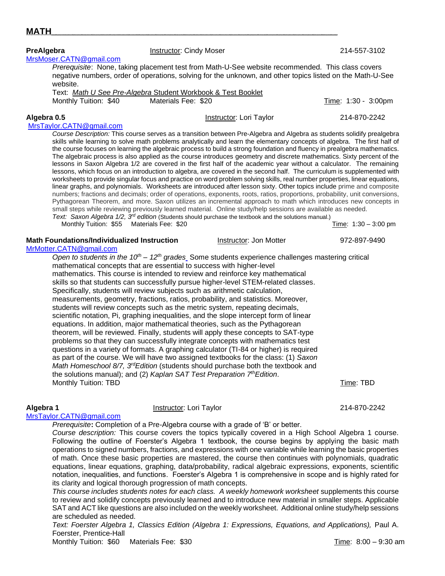| negative numbers, order of operations, solving for the unknown, and other topics listed on the Math-U-See                                                                                                                                                                                                                                                                                                                                                                                                                                                                                                                                                                                                                                                                                                                                                                                                                                                                                                                                                                                                                                                                                                                                                                                                                                                                                                                                                                                                                                                                     |                     | TOTOGODICI. THOTO, RANTING PRODUTION ROOK HOLLE MARTE OF OCO MODORO TOODHITIOHAGA. THIS OROS OO MOTO |              |                      |
|-------------------------------------------------------------------------------------------------------------------------------------------------------------------------------------------------------------------------------------------------------------------------------------------------------------------------------------------------------------------------------------------------------------------------------------------------------------------------------------------------------------------------------------------------------------------------------------------------------------------------------------------------------------------------------------------------------------------------------------------------------------------------------------------------------------------------------------------------------------------------------------------------------------------------------------------------------------------------------------------------------------------------------------------------------------------------------------------------------------------------------------------------------------------------------------------------------------------------------------------------------------------------------------------------------------------------------------------------------------------------------------------------------------------------------------------------------------------------------------------------------------------------------------------------------------------------------|---------------------|------------------------------------------------------------------------------------------------------|--------------|----------------------|
| website.<br>Text: Math U See Pre-Algebra Student Workbook & Test Booklet                                                                                                                                                                                                                                                                                                                                                                                                                                                                                                                                                                                                                                                                                                                                                                                                                                                                                                                                                                                                                                                                                                                                                                                                                                                                                                                                                                                                                                                                                                      |                     |                                                                                                      |              |                      |
| Monthly Tuition: \$40                                                                                                                                                                                                                                                                                                                                                                                                                                                                                                                                                                                                                                                                                                                                                                                                                                                                                                                                                                                                                                                                                                                                                                                                                                                                                                                                                                                                                                                                                                                                                         | Materials Fee: \$20 |                                                                                                      |              | Time: 1:30 - 3:00pm  |
| Algebra 0.5                                                                                                                                                                                                                                                                                                                                                                                                                                                                                                                                                                                                                                                                                                                                                                                                                                                                                                                                                                                                                                                                                                                                                                                                                                                                                                                                                                                                                                                                                                                                                                   |                     | Instructor: Lori Taylor                                                                              | 214-870-2242 |                      |
| MrsTaylor.CATN@gmail.com<br>Course Description: This course serves as a transition between Pre-Algebra and Algebra as students solidify prealgebra<br>skills while learning to solve math problems analytically and learn the elementary concepts of algebra. The first half of<br>the course focuses on learning the algebraic process to build a strong foundation and fluency in prealgebra mathematics.<br>The algebraic process is also applied as the course introduces geometry and discrete mathematics. Sixty percent of the<br>lessons in Saxon Algebra 1/2 are covered in the first half of the academic year without a calculator. The remaining<br>lessons, which focus on an introduction to algebra, are covered in the second half. The curriculum is supplemented with<br>worksheets to provide singular focus and practice on word problem solving skills, real number properties, linear equations,<br>linear graphs, and polynomials. Worksheets are introduced after lesson sixty. Other topics include prime and composite<br>numbers; fractions and decimals; order of operations, exponents, roots, ratios, proportions, probability, unit conversions,<br>Pythagorean Theorem, and more. Saxon utilizes an incremental approach to math which introduces new concepts in<br>small steps while reviewing previously learned material. Online study/help sessions are available as needed.<br>Text: Saxon Algebra $1/2$ , $3rd$ edition (Students should purchase the textbook and the solutions manual.)<br>Monthly Tuition: \$55 Materials Fee: \$20 |                     |                                                                                                      |              | Time: 1:30 - 3:00 pm |
| <b>Math Foundations/Individualized Instruction</b><br>MrMotter.CATN@gmail.com                                                                                                                                                                                                                                                                                                                                                                                                                                                                                                                                                                                                                                                                                                                                                                                                                                                                                                                                                                                                                                                                                                                                                                                                                                                                                                                                                                                                                                                                                                 |                     | Instructor: Jon Motter                                                                               | 972-897-9490 |                      |
| Open to students in the $10^{th}$ – $12^{th}$ grades. Some students experience challenges mastering critical<br>mathematical concepts that are essential to success with higher-level<br>mathematics. This course is intended to review and reinforce key mathematical<br>skills so that students can successfully pursue higher-level STEM-related classes.<br>Specifically, students will review subjects such as arithmetic calculation,<br>measurements, geometry, fractions, ratios, probability, and statistics. Moreover,<br>students will review concepts such as the metric system, repeating decimals,<br>scientific notation, Pi, graphing inequalities, and the slope intercept form of linear<br>equations. In addition, major mathematical theories, such as the Pythagorean<br>theorem, will be reviewed. Finally, students will apply these concepts to SAT-type<br>problems so that they can successfully integrate concepts with mathematics test<br>questions in a variety of formats. A graphing calculator (TI-84 or higher) is required<br>as part of the course. We will have two assigned textbooks for the class: (1) Saxon<br>Math Homeschool 8/7, 3 <sup>rd</sup> Edition (students should purchase both the textbook and<br>the solutions manual); and (2) Kaplan SAT Test Preparation 7 <sup>th</sup> Edition.                                                                                                                                                                                                                                   |                     |                                                                                                      |              |                      |
| Monthly Tuition: TBD                                                                                                                                                                                                                                                                                                                                                                                                                                                                                                                                                                                                                                                                                                                                                                                                                                                                                                                                                                                                                                                                                                                                                                                                                                                                                                                                                                                                                                                                                                                                                          |                     |                                                                                                      | Time: TBD    |                      |

**PreAlgebra Instructor: Cindy Moser Instructor: Communist Communist Communist Communist Communist Communist Communist Communist Communist Communist Communist Communist Communist Communist Communist Communist Communist** [MrsMoser.CATN@gmail.com](mailto:MrsMoser.CATN@gmail.com)

**MATH\_\_\_\_\_\_\_\_\_\_\_\_\_\_\_\_\_\_\_\_\_\_\_\_\_\_\_\_\_\_\_\_\_\_\_\_\_\_\_\_\_\_\_\_\_\_\_\_\_\_\_\_\_\_\_\_\_\_\_**

*Prerequisite*: None, taking placement test from Math-U-See website recommended. This class covers

# *Prerequisite***:** Completion of a Pre-Algebra course with a grade of 'B' or better. *Course description:* This course covers the topics typically covered in a High School Algebra 1 course.

[MrsTaylor.CATN@gmail.com](mailto:MrsTaylor.CATN@gmail.com)

Following the outline of Foerster's Algebra 1 textbook, the course begins by applying the basic math operations to signed numbers, fractions, and expressions with one variable while learning the basic properties of math. Once these basic properties are mastered, the course then continues with polynomials, quadratic equations, linear equations, graphing, data/probability, radical algebraic expressions, exponents, scientific notation, inequalities, and functions. Foerster's Algebra 1 is comprehensive in scope and is highly rated for its clarity and logical thorough progression of math concepts.

*This course includes students notes for each class. A weekly homework worksheet supplements this course* to review and solidify concepts previously learned and to introduce new material in smaller steps. Applicable SAT and ACT like questions are also included on the weekly worksheet. Additional online study/help sessions are scheduled as needed.

*Text: Foerster Algebra 1, Classics Edition (Algebra 1: Expressions, Equations, and Applications),* Paul A. Foerster, Prentice-Hall

Monthly Tuition: \$60 Materials Fee: \$30 November 2012 1:00 Time: 8:00 – 9:30 am

**Algebra 1** Instructor: Lori Taylor 214-870-2242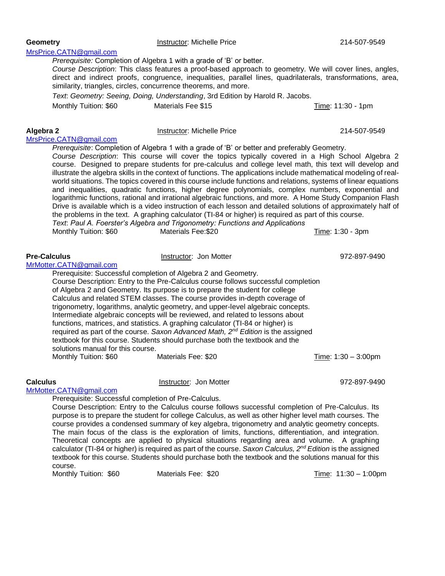| MrsPrice.CATN@gmail.com              |                                                                                                                                                                                 |                   |
|--------------------------------------|---------------------------------------------------------------------------------------------------------------------------------------------------------------------------------|-------------------|
|                                      | Prerequisite: Completion of Algebra 1 with a grade of 'B' or better.                                                                                                            |                   |
|                                      | Course Description: This class features a proof-based approach to geometry. We will cover lines, angles,                                                                        |                   |
|                                      | direct and indirect proofs, congruence, inequalities, parallel lines, quadrilaterals, transformations, area,<br>similarity, triangles, circles, concurrence theorems, and more. |                   |
|                                      | Text. Geometry: Seeing, Doing, Understanding, 3rd Edition by Harold R. Jacobs.                                                                                                  |                   |
| Monthly Tuition: \$60                | Materials Fee \$15                                                                                                                                                              | Time: 11:30 - 1pm |
| Algebra 2<br>MrsPrice.CATN@gmail.com | Instructor: Michelle Price                                                                                                                                                      | 214-507-9549      |

*Prerequisite*: Completion of Algebra 1 with a grade of 'B' or better and preferably Geometry. *Course Description*: This course will cover the topics typically covered in a High School Algebra 2 course. Designed to prepare students for pre-calculus and college level math, this text will develop and illustrate the algebra skills in the context of functions. The applications include mathematical modeling of realworld situations. The topics covered in this course include functions and relations, systems of linear equations and inequalities, quadratic functions, higher degree polynomials, complex numbers, exponential and logarithmic functions, rational and irrational algebraic functions, and more. A Home Study Companion Flash Drive is available which is a video instruction of each lesson and detailed solutions of approximately half of the problems in the text. A graphing calculator (TI-84 or higher) is required as part of this course. *Text*: *Paul A. Foerster's Algebra and Trigonometry: Functions and Applications* Monthly Tuition: \$60 Materials Fee:\$20 Monthly Time: 1:30 - 3pm

| <b>Pre-Calculus</b>     |                                   | Instructor: Jon Motter                                                                                                                                             | 972-897-9490                          |
|-------------------------|-----------------------------------|--------------------------------------------------------------------------------------------------------------------------------------------------------------------|---------------------------------------|
| MrMotter.CATN@gmail.com |                                   |                                                                                                                                                                    |                                       |
|                         |                                   | Prerequisite: Successful completion of Algebra 2 and Geometry.                                                                                                     |                                       |
|                         |                                   | Course Description: Entry to the Pre-Calculus course follows successful completion<br>of Algebra 2 and Geometry. Its purpose is to prepare the student for college |                                       |
|                         |                                   | Calculus and related STEM classes. The course provides in-depth coverage of                                                                                        |                                       |
|                         |                                   | trigonometry, logarithms, analytic geometry, and upper-level algebraic concepts.                                                                                   |                                       |
|                         |                                   | Intermediate algebraic concepts will be reviewed, and related to lessons about                                                                                     |                                       |
|                         |                                   | functions, matrices, and statistics. A graphing calculator (TI-84 or higher) is                                                                                    |                                       |
|                         |                                   | required as part of the course. Saxon Advanced Math, 2 <sup>nd</sup> Edition is the assigned                                                                       |                                       |
|                         |                                   | textbook for this course. Students should purchase both the textbook and the                                                                                       |                                       |
|                         | solutions manual for this course. |                                                                                                                                                                    |                                       |
|                         | Monthly Tuition: \$60             | Materials Fee: \$20                                                                                                                                                | <u>Time</u> : $1:30 - 3:00 \text{pm}$ |
|                         |                                   |                                                                                                                                                                    |                                       |

**Calculus** Instructor: Jon Motter 972-897-9490 [MrMotter.CATN@gmail.com](mailto:MrMotter.CATN@gmail.com)

Prerequisite: Successful completion of Pre-Calculus.

Course Description: Entry to the Calculus course follows successful completion of Pre-Calculus. Its purpose is to prepare the student for college Calculus, as well as other higher level math courses. The course provides a condensed summary of key algebra, trigonometry and analytic geometry concepts. The main focus of the class is the exploration of limits, functions, differentiation, and integration. Theoretical concepts are applied to physical situations regarding area and volume. A graphing calculator (TI-84 or higher) is required as part of the course. *Saxon Calculus, 2nd Edition* is the assigned textbook for this course. Students should purchase both the textbook and the solutions manual for this course.

Monthly Tuition: \$60 Materials Fee: \$20 Time: 11:30 – 1:00pm

#### **Geometry Instructor: Michelle Price 214-507-9549 Community**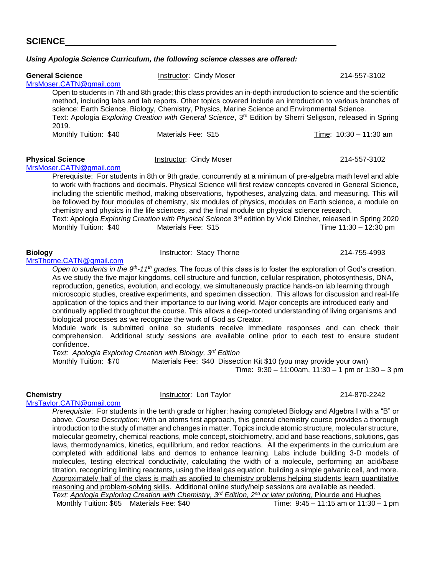### *Using Apologia Science Curriculum, the following science classes are offered:*

| <b>General Science</b><br>MrsMoser.CATN@gmail.com                                                   | <b>Instructor: Cindy Moser</b>                                                                                                                                                                                                                                                                                                                                    | 214-557-3102                                                                                                                                                                                                                                                                                                                                                                                                                                                                                                                                                                                                                                                                                                                                                                                                                                                                                                                                                                                                                           |
|-----------------------------------------------------------------------------------------------------|-------------------------------------------------------------------------------------------------------------------------------------------------------------------------------------------------------------------------------------------------------------------------------------------------------------------------------------------------------------------|----------------------------------------------------------------------------------------------------------------------------------------------------------------------------------------------------------------------------------------------------------------------------------------------------------------------------------------------------------------------------------------------------------------------------------------------------------------------------------------------------------------------------------------------------------------------------------------------------------------------------------------------------------------------------------------------------------------------------------------------------------------------------------------------------------------------------------------------------------------------------------------------------------------------------------------------------------------------------------------------------------------------------------------|
| 2019.                                                                                               | science: Earth Science, Biology, Chemistry, Physics, Marine Science and Environmental Science.                                                                                                                                                                                                                                                                    | Open to students in 7th and 8th grade; this class provides an in-depth introduction to science and the scientific<br>method, including labs and lab reports. Other topics covered include an introduction to various branches of<br>Text: Apologia Exploring Creation with General Science, 3 <sup>rd</sup> Edition by Sherri Seligson, released in Spring                                                                                                                                                                                                                                                                                                                                                                                                                                                                                                                                                                                                                                                                             |
| Monthly Tuition: \$40                                                                               | Materials Fee: \$15                                                                                                                                                                                                                                                                                                                                               | Time: 10:30 - 11:30 am                                                                                                                                                                                                                                                                                                                                                                                                                                                                                                                                                                                                                                                                                                                                                                                                                                                                                                                                                                                                                 |
| <b>Physical Science</b><br>MrsMoser.CATN@gmail.com                                                  | <b>Instructor: Cindy Moser</b>                                                                                                                                                                                                                                                                                                                                    | 214-557-3102                                                                                                                                                                                                                                                                                                                                                                                                                                                                                                                                                                                                                                                                                                                                                                                                                                                                                                                                                                                                                           |
| Monthly Tuition: \$40                                                                               | chemistry and physics in the life sciences, and the final module on physical science research.<br>Materials Fee: \$15                                                                                                                                                                                                                                             | Prerequisite: For students in 8th or 9th grade, concurrently at a minimum of pre-algebra math level and able<br>to work with fractions and decimals. Physical Science will first review concepts covered in General Science,<br>including the scientific method, making observations, hypotheses, analyzing data, and measuring. This will<br>be followed by four modules of chemistry, six modules of physics, modules on Earth science, a module on<br>Text: Apologia Exploring Creation with Physical Science 3 <sup>rd</sup> edition by Vicki Dincher, released in Spring 2020<br>Time $11:30 - 12:30$ pm                                                                                                                                                                                                                                                                                                                                                                                                                          |
| <b>Biology</b><br>MrsThorne.CATN@gmail.com                                                          | Instructor: Stacy Thorne                                                                                                                                                                                                                                                                                                                                          | 214-755-4993                                                                                                                                                                                                                                                                                                                                                                                                                                                                                                                                                                                                                                                                                                                                                                                                                                                                                                                                                                                                                           |
| confidence.<br>Text: Apologia Exploring Creation with Biology, 3rd Edition<br>Monthly Tuition: \$70 | reproduction, genetics, evolution, and ecology, we simultaneously practice hands-on lab learning through<br>application of the topics and their importance to our living world. Major concepts are introduced early and<br>biological processes as we recognize the work of God as Creator.<br>Materials Fee: \$40 Dissection Kit \$10 (you may provide your own) | Open to students in the $9th$ -11 <sup>th</sup> grades. The focus of this class is to foster the exploration of God's creation.<br>As we study the five major kingdoms, cell structure and function, cellular respiration, photosynthesis, DNA,<br>microscopic studies, creative experiments, and specimen dissection. This allows for discussion and real-life<br>continually applied throughout the course. This allows a deep-rooted understanding of living organisms and<br>Module work is submitted online so students receive immediate responses and can check their<br>comprehension. Additional study sessions are available online prior to each test to ensure student<br>Time: $9:30 - 11:00$ am, $11:30 - 1$ pm or $1:30 - 3$ pm                                                                                                                                                                                                                                                                                         |
| <b>Chemistry</b>                                                                                    | Instructor: Lori Taylor                                                                                                                                                                                                                                                                                                                                           | 214-870-2242                                                                                                                                                                                                                                                                                                                                                                                                                                                                                                                                                                                                                                                                                                                                                                                                                                                                                                                                                                                                                           |
| MrsTaylor.CATN@gmail.com                                                                            | reasoning and problem-solving skills. Additional online study/help sessions are available as needed.<br>Text: Apologia Exploring Creation with Chemistry, 3 <sup>rd</sup> Edition, 2 <sup>nd</sup> or later printing, Plourde and Hughes                                                                                                                          | Prerequisite: For students in the tenth grade or higher; having completed Biology and Algebra I with a "B" or<br>above. Course Description: With an atoms first approach, this general chemistry course provides a thorough<br>introduction to the study of matter and changes in matter. Topics include atomic structure, molecular structure,<br>molecular geometry, chemical reactions, mole concept, stoichiometry, acid and base reactions, solutions, gas<br>laws, thermodynamics, kinetics, equilibrium, and redox reactions. All the experiments in the curriculum are<br>completed with additional labs and demos to enhance learning. Labs include building 3-D models of<br>molecules, testing electrical conductivity, calculating the width of a molecule, performing an acid/base<br>titration, recognizing limiting reactants, using the ideal gas equation, building a simple galvanic cell, and more.<br>Approximately half of the class is math as applied to chemistry problems helping students learn quantitative |

Monthly Tuition:  $$65$  Materials Fee:  $$40$  Time:  $9:45 - 11:15$  am or  $11:30 - 1$  pm